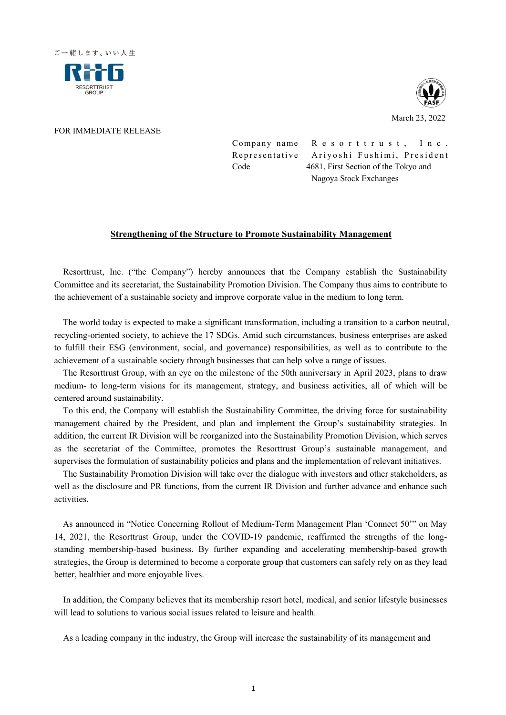



## FOR IMMEDIATE RELEASE

Company name Resorttrust, Inc. Representative Ariyoshi Fushimi, President Code 4681, First Section of the Tokyo and Nagoya Stock Exchanges

## **Strengthening of the Structure to Promote Sustainability Management**

Resorttrust, Inc. ("the Company") hereby announces that the Company establish the Sustainability Committee and its secretariat, the Sustainability Promotion Division. The Company thus aims to contribute to the achievement of a sustainable society and improve corporate value in the medium to long term.

The world today is expected to make a significant transformation, including a transition to a carbon neutral, recycling-oriented society, to achieve the 17 SDGs. Amid such circumstances, business enterprises are asked to fulfill their ESG (environment, social, and governance) responsibilities, as well as to contribute to the achievement of a sustainable society through businesses that can help solve a range of issues.

The Resorttrust Group, with an eye on the milestone of the 50th anniversary in April 2023, plans to draw medium- to long-term visions for its management, strategy, and business activities, all of which will be centered around sustainability.

To this end, the Company will establish the Sustainability Committee, the driving force for sustainability management chaired by the President, and plan and implement the Group's sustainability strategies. In addition, the current IR Division will be reorganized into the Sustainability Promotion Division, which serves as the secretariat of the Committee, promotes the Resorttrust Group's sustainable management, and supervises the formulation of sustainability policies and plans and the implementation of relevant initiatives.

The Sustainability Promotion Division will take over the dialogue with investors and other stakeholders, as well as the disclosure and PR functions, from the current IR Division and further advance and enhance such activities.

As announced in "Notice Concerning Rollout of Medium-Term Management Plan 'Connect 50'" on May 14, 2021, the Resorttrust Group, under the COVID-19 pandemic, reaffirmed the strengths of the longstanding membership-based business. By further expanding and accelerating membership-based growth strategies, the Group is determined to become a corporate group that customers can safely rely on as they lead better, healthier and more enjoyable lives.

In addition, the Company believes that its membership resort hotel, medical, and senior lifestyle businesses will lead to solutions to various social issues related to leisure and health.

As a leading company in the industry, the Group will increase the sustainability of its management and